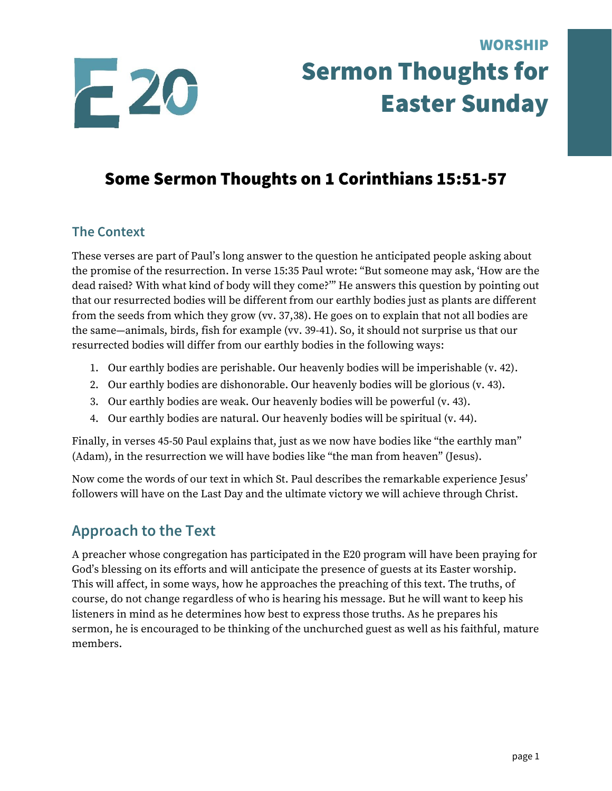

# WORSHIP Sermon Thoughts for Easter Sunday

# Some Sermon Thoughts on 1 Corinthians 15:51-57

#### **The Context**

These verses are part of Paul's long answer to the question he anticipated people asking about the promise of the resurrection. In verse 15:35 Paul wrote: "But someone may ask, 'How are the dead raised? With what kind of body will they come?'" He answers this question by pointing out that our resurrected bodies will be different from our earthly bodies just as plants are different from the seeds from which they grow (vv. 37,38). He goes on to explain that not all bodies are the same—animals, birds, fish for example (vv. 39-41). So, it should not surprise us that our resurrected bodies will differ from our earthly bodies in the following ways:

- 1. Our earthly bodies are perishable. Our heavenly bodies will be imperishable (v. 42).
- 2. Our earthly bodies are dishonorable. Our heavenly bodies will be glorious (v. 43).
- 3. Our earthly bodies are weak. Our heavenly bodies will be powerful (v. 43).
- 4. Our earthly bodies are natural. Our heavenly bodies will be spiritual (v. 44).

Finally, in verses 45-50 Paul explains that, just as we now have bodies like "the earthly man" (Adam), in the resurrection we will have bodies like "the man from heaven" (Jesus).

Now come the words of our text in which St. Paul describes the remarkable experience Jesus' followers will have on the Last Day and the ultimate victory we will achieve through Christ.

### **Approach to the Text**

A preacher whose congregation has participated in the E20 program will have been praying for God's blessing on its efforts and will anticipate the presence of guests at its Easter worship. This will affect, in some ways, how he approaches the preaching of this text. The truths, of course, do not change regardless of who is hearing his message. But he will want to keep his listeners in mind as he determines how best to express those truths. As he prepares his sermon, he is encouraged to be thinking of the unchurched guest as well as his faithful, mature members.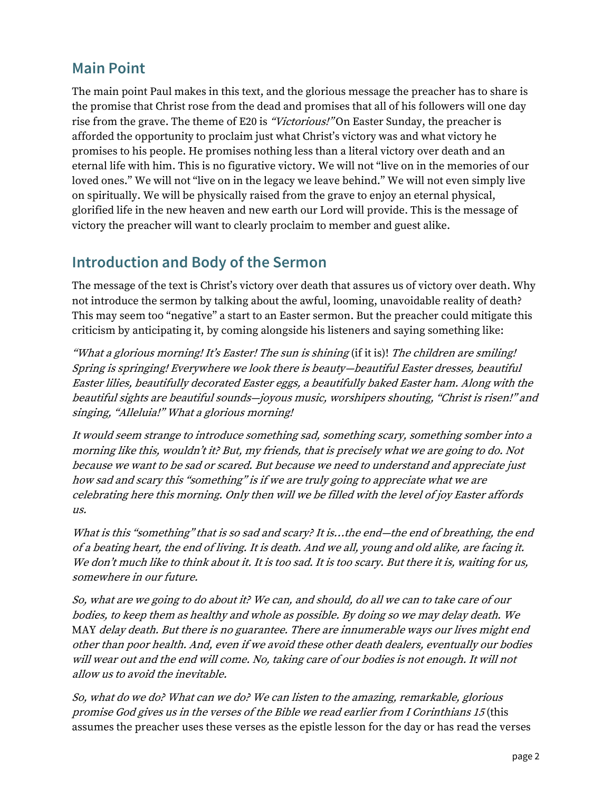#### **Main Point**

The main point Paul makes in this text, and the glorious message the preacher has to share is the promise that Christ rose from the dead and promises that all of his followers will one day rise from the grave. The theme of E20 is "Victorious!" On Easter Sunday, the preacher is afforded the opportunity to proclaim just what Christ's victory was and what victory he promises to his people. He promises nothing less than a literal victory over death and an eternal life with him. This is no figurative victory. We will not "live on in the memories of our loved ones." We will not "live on in the legacy we leave behind." We will not even simply live on spiritually. We will be physically raised from the grave to enjoy an eternal physical, glorified life in the new heaven and new earth our Lord will provide. This is the message of victory the preacher will want to clearly proclaim to member and guest alike.

#### **Introduction and Body of the Sermon**

The message of the text is Christ's victory over death that assures us of victory over death. Why not introduce the sermon by talking about the awful, looming, unavoidable reality of death? This may seem too "negative" a start to an Easter sermon. But the preacher could mitigate this criticism by anticipating it, by coming alongside his listeners and saying something like:

"What a glorious morning! It's Easter! The sun is shining (if it is)! The children are smiling! Spring is springing! Everywhere we look there is beauty—beautiful Easter dresses, beautiful Easter lilies, beautifully decorated Easter eggs, a beautifully baked Easter ham. Along with the beautiful sights are beautiful sounds—joyous music, worshipers shouting, "Christ is risen!" and singing, "Alleluia!" What a glorious morning!

It would seem strange to introduce something sad, something scary, something somber into a morning like this, wouldn't it? But, my friends, that is precisely what we are going to do. Not because we want to be sad or scared. But because we need to understand and appreciate just how sad and scary this "something" is if we are truly going to appreciate what we are celebrating here this morning. Only then will we be filled with the level of joy Easter affords us.

What is this "something" that is so sad and scary? It is...the end—the end of breathing, the end of a beating heart, the end of living. It is death. And we all, young and old alike, are facing it. We don't much like to think about it. It is too sad. It is too scary. But there it is, waiting for us, somewhere in our future.

So, what are we going to do about it? We can, and should, do all we can to take care of our bodies, to keep them as healthy and whole as possible. By doing so we may delay death. We MAY delay death. But there is no guarantee. There are innumerable ways our lives might end other than poor health. And, even if we avoid these other death dealers, eventually our bodies will wear out and the end will come. No, taking care of our bodies is not enough. It will not allow us to avoid the inevitable.

So, what do we do? What can we do? We can listen to the amazing, remarkable, glorious promise God gives us in the verses of the Bible we read earlier from I Corinthians 15 (this assumes the preacher uses these verses as the epistle lesson for the day or has read the verses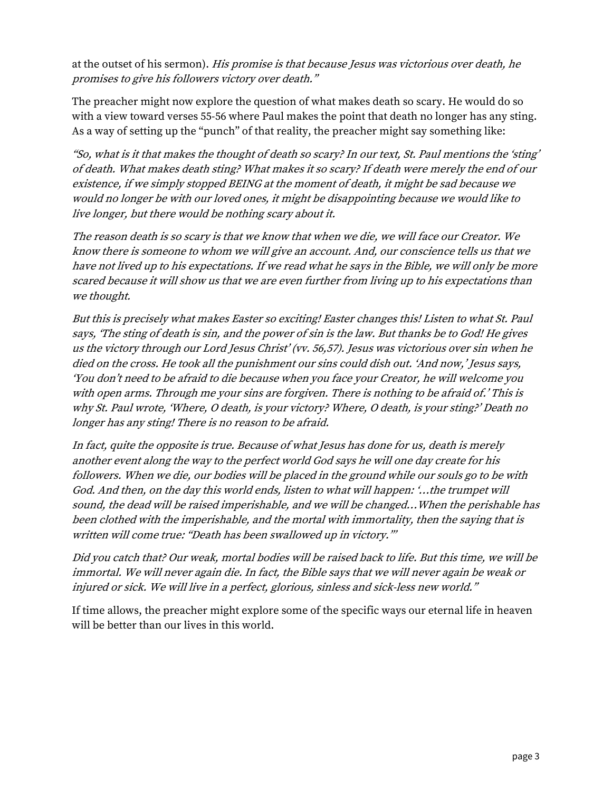at the outset of his sermon). His promise is that because Jesus was victorious over death, he promises to give his followers victory over death."

The preacher might now explore the question of what makes death so scary. He would do so with a view toward verses 55-56 where Paul makes the point that death no longer has any sting. As a way of setting up the "punch" of that reality, the preacher might say something like:

"So, what is it that makes the thought of death so scary? In our text, St. Paul mentions the 'sting' of death. What makes death sting? What makes it so scary? If death were merely the end of our existence, if we simply stopped BEING at the moment of death, it might be sad because we would no longer be with our loved ones, it might be disappointing because we would like to live longer, but there would be nothing scary about it.

The reason death is so scary is that we know that when we die, we will face our Creator. We know there is someone to whom we will give an account. And, our conscience tells us that we have not lived up to his expectations. If we read what he says in the Bible, we will only be more scared because it will show us that we are even further from living up to his expectations than we thought.

But this is precisely what makes Easter so exciting! Easter changes this! Listen to what St. Paul says, 'The sting of death is sin, and the power of sin is the law. But thanks be to God! He gives us the victory through our Lord Jesus Christ' (vv. 56,57). Jesus was victorious over sin when he died on the cross. He took all the punishment our sins could dish out. 'And now,' Jesus says, 'You don't need to be afraid to die because when you face your Creator, he will welcome you with open arms. Through me your sins are forgiven. There is nothing to be afraid of.' This is why St. Paul wrote, 'Where, O death, is your victory? Where, O death, is your sting?' Death no longer has any sting! There is no reason to be afraid.

In fact, quite the opposite is true. Because of what Jesus has done for us, death is merely another event along the way to the perfect world God says he will one day create for his followers. When we die, our bodies will be placed in the ground while our souls go to be with God. And then, on the day this world ends, listen to what will happen: '…the trumpet will sound, the dead will be raised imperishable, and we will be changed…When the perishable has been clothed with the imperishable, and the mortal with immortality, then the saying that is written will come true: "Death has been swallowed up in victory."'

Did you catch that? Our weak, mortal bodies will be raised back to life. But this time, we will be immortal. We will never again die. In fact, the Bible says that we will never again be weak or injured or sick. We will live in a perfect, glorious, sinless and sick-less new world."

If time allows, the preacher might explore some of the specific ways our eternal life in heaven will be better than our lives in this world.